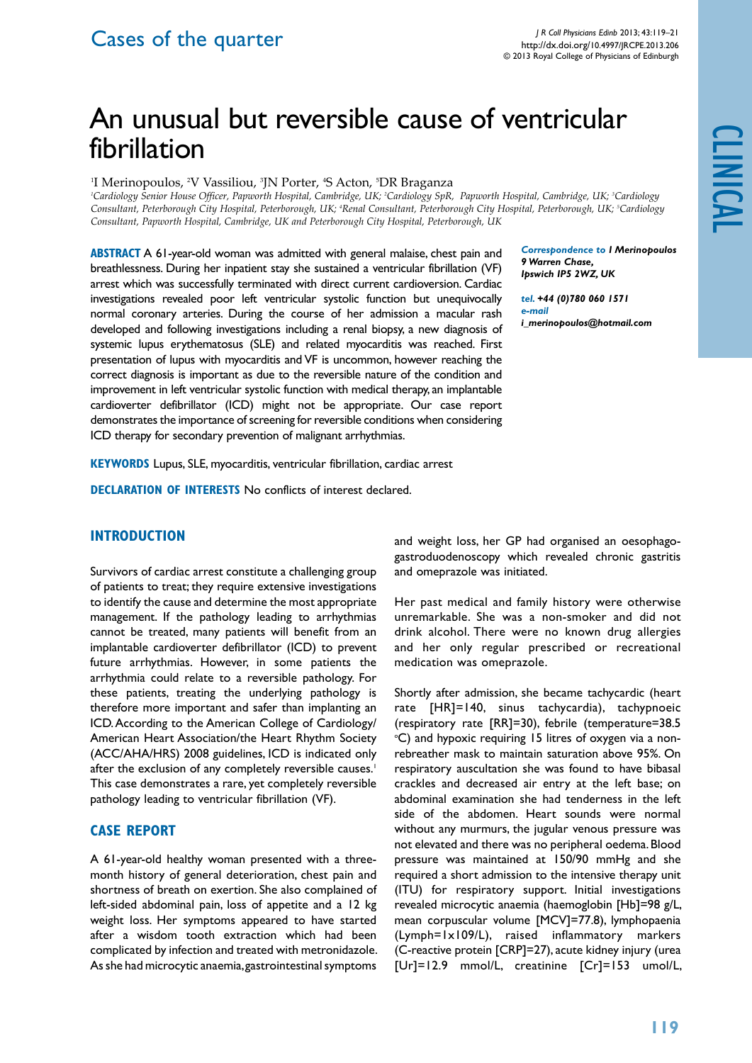## Cases of the quarter

# An unusual but reversible cause of ventricular fibrillation

'I Merinopoulos, <sup>2</sup>V Vassiliou, <sup>3</sup>JN Porter, <del>'</del>S Acton, <sup>5</sup>DR Braganza

<sup>1</sup>Cardiology Senior House Officer, Papworth Hospital, Cambridge, UK; <sup>2</sup>Cardiology SpR, Papworth Hospital, Cambridge, UK; <sup>3</sup>Cardiology Consultant, Peterborough City Hospital, Peterborough, UK; 'Renal Consultant, Peterborough City Hospital, Peterborough, UK; <sup>s</sup>Cardiology *Consultant, Papworth Hospital, Cambridge, UK and Peterborough City Hospital, Peterborough, UK*

**ABSTRACT** A 61-year-old woman was admitted with general malaise, chest pain and breathlessness. During her inpatient stay she sustained a ventricular fibrillation (VF) arrest which was successfully terminated with direct current cardioversion. Cardiac investigations revealed poor left ventricular systolic function but unequivocally normal coronary arteries. During the course of her admission a macular rash developed and following investigations including a renal biopsy, a new diagnosis of systemic lupus erythematosus (SLE) and related myocarditis was reached. First presentation of lupus with myocarditis and VF is uncommon, however reaching the correct diagnosis is important as due to the reversible nature of the condition and improvement in left ventricular systolic function with medical therapy, an implantable cardioverter defibrillator (ICD) might not be appropriate. Our case report demonstrates the importance of screening for reversible conditions when considering ICD therapy for secondary prevention of malignant arrhythmias.

*Correspondence to I Merinopoulos 9 Warren Chase, Ipswich IP5 2WZ, UK*

clinical

*tel. +44 (0)780 060 1571 e-mail i\_merinopoulos@hotmail.com*

**KEYWORDS** Lupus, SLE, myocarditis, ventricular fibrillation, cardiac arrest

**DECLARATION OF INTERESTS** No conflicts of interest declared.

#### **Introduction**

Survivors of cardiac arrest constitute a challenging group of patients to treat; they require extensive investigations to identify the cause and determine the most appropriate management. If the pathology leading to arrhythmias cannot be treated, many patients will benefit from an implantable cardioverter defibrillator (ICD) to prevent future arrhythmias. However, in some patients the arrhythmia could relate to a reversible pathology. For these patients, treating the underlying pathology is therefore more important and safer than implanting an ICD. According to the American College of Cardiology/ American Heart Association/the Heart Rhythm Society (ACC/AHA/HRS) 2008 guidelines, ICD is indicated only after the exclusion of any completely reversible causes.<sup>1</sup> This case demonstrates a rare, yet completely reversible pathology leading to ventricular fibrillation (VF).

#### **Case Report**

A 61-year-old healthy woman presented with a threemonth history of general deterioration, chest pain and shortness of breath on exertion. She also complained of left-sided abdominal pain, loss of appetite and a 12 kg weight loss. Her symptoms appeared to have started after a wisdom tooth extraction which had been complicated by infection and treated with metronidazole. As she had microcytic anaemia, gastrointestinal symptoms and weight loss, her GP had organised an oesophagogastroduodenoscopy which revealed chronic gastritis and omeprazole was initiated.

Her past medical and family history were otherwise unremarkable. She was a non-smoker and did not drink alcohol. There were no known drug allergies and her only regular prescribed or recreational medication was omeprazole.

Shortly after admission, she became tachycardic (heart rate [HR]=140, sinus tachycardia), tachypnoeic (respiratory rate [RR]=30), febrile (temperature=38.5 °C) and hypoxic requiring 15 litres of oxygen via a nonrebreather mask to maintain saturation above 95%. On respiratory auscultation she was found to have bibasal crackles and decreased air entry at the left base; on abdominal examination she had tenderness in the left side of the abdomen. Heart sounds were normal without any murmurs, the jugular venous pressure was not elevated and there was no peripheral oedema. Blood pressure was maintained at 150/90 mmHg and she required a short admission to the intensive therapy unit (ITU) for respiratory support. Initial investigations revealed microcytic anaemia (haemoglobin [Hb]=98 g/L, mean corpuscular volume [MCV]=77.8), lymphopaenia (Lymph=1x109/L), raised inflammatory markers (C-reactive protein [CRP]=27), acute kidney injury (urea [Ur]=12.9 mmol/L, creatinine [Cr]=153 umol/L,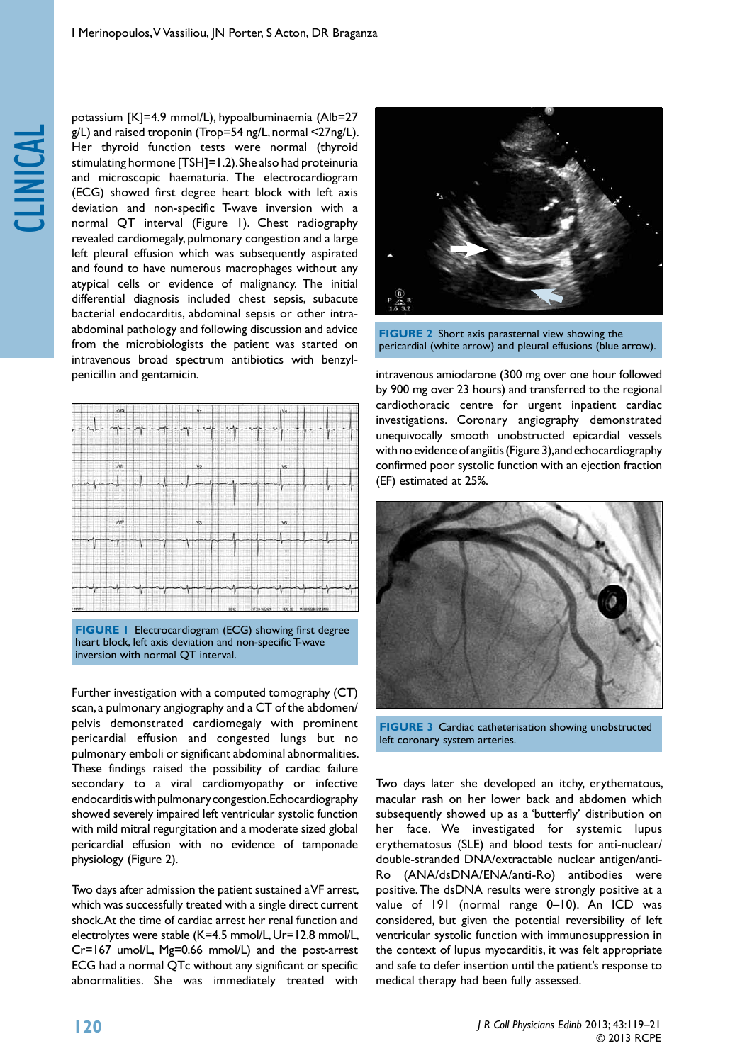

potassium [K]=4.9 mmol/L), hypoalbuminaemia (Alb=27 g/L) and raised troponin (Trop=54 ng/L, normal <27ng/L). Her thyroid function tests were normal (thyroid stimulating hormone [TSH]=1.2). She also had proteinuria and microscopic haematuria. The electrocardiogram (ECG) showed first degree heart block with left axis deviation and non-specific T-wave inversion with a normal QT interval (Figure 1). Chest radiography revealed cardiomegaly, pulmonary congestion and a large left pleural effusion which was subsequently aspirated and found to have numerous macrophages without any atypical cells or evidence of malignancy. The initial differential diagnosis included chest sepsis, subacute bacterial endocarditis, abdominal sepsis or other intraabdominal pathology and following discussion and advice from the microbiologists the patient was started on intravenous broad spectrum antibiotics with benzylpenicillin and gentamicin.



**FIGURE 1** Electrocardiogram (ECG) showing first degree heart block, left axis deviation and non-specific T-wave inversion with normal QT interval.

Further investigation with a computed tomography (CT) scan, a pulmonary angiography and a CT of the abdomen/ pelvis demonstrated cardiomegaly with prominent pericardial effusion and congested lungs but no pulmonary emboli or significant abdominal abnormalities. These findings raised the possibility of cardiac failure secondary to a viral cardiomyopathy or infective endocarditis with pulmonary congestion. Echocardiography showed severely impaired left ventricular systolic function with mild mitral regurgitation and a moderate sized global pericardial effusion with no evidence of tamponade physiology (Figure 2).

Two days after admission the patient sustained a VF arrest, which was successfully treated with a single direct current shock. At the time of cardiac arrest her renal function and electrolytes were stable (K=4.5 mmol/L, Ur=12.8 mmol/L, Cr=167 umol/L, Mg=0.66 mmol/L) and the post-arrest ECG had a normal QTc without any significant or specific abnormalities. She was immediately treated with



**FIGURE 2** Short axis parasternal view showing the pericardial (white arrow) and pleural effusions (blue arrow).

intravenous amiodarone (300 mg over one hour followed by 900 mg over 23 hours) and transferred to the regional cardiothoracic centre for urgent inpatient cardiac investigations. Coronary angiography demonstrated unequivocally smooth unobstructed epicardial vessels with no evidence of angiitis (Figure 3), and echocardiography confirmed poor systolic function with an ejection fraction (EF) estimated at 25%.



**FIGURE 3** Cardiac catheterisation showing unobstructed left coronary system arteries.

Two days later she developed an itchy, erythematous, macular rash on her lower back and abdomen which subsequently showed up as a 'butterfly' distribution on her face. We investigated for systemic lupus erythematosus (SLE) and blood tests for anti-nuclear/ double-stranded DNA/extractable nuclear antigen/anti-Ro (ANA/dsDNA/ENA/anti-Ro) antibodies were positive. The dsDNA results were strongly positive at a value of 191 (normal range 0–10). An ICD was considered, but given the potential reversibility of left ventricular systolic function with immunosuppression in the context of lupus myocarditis, it was felt appropriate and safe to defer insertion until the patient's response to medical therapy had been fully assessed.